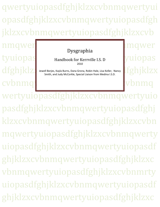qwertyuiopasdfghjklzxcvbnmqwertyui opasdfghjklzxcvbnmqwertyuiopasdfgh jklzxcvbnmqwertyuiopasdfghjklzxcvb

tyuiopas Handbook for Kerrville I.S. D Vuiopas cvbnmqwertyuiopasta and the community of the community of the community of the community of the community of the community of the community of the community of the community of the community of the community of the communi

# Dysgraphia

#### Handbook for Kerrville I.S. D 2010

dfghjklz) Jewell Borjes, Kayla Burns, Dana Grona, Robin Hale, Lisa Keller, Nancy KIZX Smith, and Judy McCorkle, Special Liaison from Medina I.S.D.

nqwertyuiopasta and the set of the set of the set of the set of the set of the set of the set of the set of th

wertyuiopasdfghjklzxcvbnmqwertyuio pasdfghjklzxcvbnmqwertyuiopasdfghj klzxcvbnmqwertyuiopasdfghjklzxcvbn mqwertyuiopasdfghjklzxcvbnmqwerty uiopasdfghjklzxcvbnmqwertyuiopasdf ghjklzxcvbnmqwertyuiopasdfghjklzxc vbnmqwertyuiopasdfghjklzxcvbnmrty uiopasdfghjklzxcvbnmqwertyuiopasdf ghjklzxcvbnmqwertyuiopasdfghjklzxc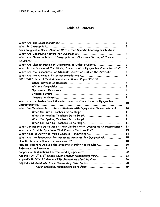## **Table of Contents**

| 3                                                                                 |    |
|-----------------------------------------------------------------------------------|----|
| 3                                                                                 |    |
| Does Dysgraphia Occur Alone or With Other Specific Learning Disabilities?<br>3    |    |
| 4                                                                                 |    |
| What Are Characteristics of Dysgraphia in a Classroom Setting of Younger<br>5     |    |
| Students?                                                                         |    |
| What Are Characteristics of Dysgraphia of Older Students?<br>5                    |    |
| What Is the Process of Identifying Students With Dysgraphia Characteristics?<br>6 |    |
| What Are the Procedures For Students Identified Out of the District?<br>7         |    |
| $\overline{7}$                                                                    |    |
| 2010 TAKS General Test Administrator Manual Pages 99-100                          |    |
| 7                                                                                 |    |
| 8                                                                                 |    |
| 9                                                                                 |    |
| 9                                                                                 |    |
| 9                                                                                 |    |
| What Are the Instructional Considerations for Students With Dysgraphia            | 10 |
|                                                                                   |    |
| What Can Teachers Do to Assist Students with Dysgraphia Characteristics?          | 10 |
|                                                                                   | 11 |
|                                                                                   | 11 |
|                                                                                   | 11 |
|                                                                                   | 11 |
| What Can parents Do to Assist Their Children With Dysgraphia Characteristics?     | 13 |
| What Are Possible Symptoms That Parents Can Look For?                             | 13 |
| What Kinds of Activities Would Improve Handwriting?                               | 14 |
| What Are the Procedures For Assessing Students For Dysgraphia?                    | 15 |
|                                                                                   | 18 |
| How Do Teachers Analyze the Students' Handwriting Results?                        | 20 |
| References & Resources                                                            | 21 |
| Dysgraphia Instructions For the Reading Specialist                                | 22 |
| Appendix A: 1 <sup>st</sup> & 2 <sup>nd</sup> Grade KISD Student Handwriting Form | 23 |
| Appendix B: 3 <sup>rd</sup> -12 <sup>th</sup> Grade KISD Student Handwriting Form | 26 |
| Appendix C: KISD Classroom Handwriting Data Form                                  | 28 |
| KISD Individual Handwriting Data Form                                             | 29 |
|                                                                                   |    |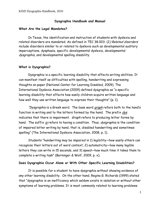#### **Dysgraphia Handbook and Manual**

#### **What Are the Legal Mandates?**

In Texas, the identification and instruction of students with dyslexia and related disorders are mandated. As defined in TEC 38.003: (2) Related disorders include disorders similar to or related to dyslexia such as developmental auditory imperceptions, dysphasia, specific developmental dyslexia, developmental dysgraphia, and developmental spelling disability.

#### **What is Dysgraphia?**

Dysgraphia is a specific learning disability that affects writing abilities. It can manifest itself as difficulties with spelling, handwriting and expressing thoughts on paper (National Center for Learning Disabled, 2009). The International Dyslexia Association (2009) defined dysgraphia as "a specific learning disability that affects how easily children acquire written language and how well they use written language to express their thoughts" (p. 1).

"Dysgraphia is a Greek word. The base word graph refers both to the hand's function in writing and to the letters formed by the hand. The prefix dys indicates that there is impairment. Graph refers to producing letter forms by hand. The suffix ia refers to having a condition. Thus, dysgraphia is the condition of impaired letter writing by hand, that is, disabled handwriting and sometimes spelling" (The International Dyslexia Association, 2008, p. 1).

Students "handwriting may be impaired in 1) legibility—how easily others can recognize their letters out of word context, 2) automaticity—how many legible letters they can write in 15 seconds, and 3) speed—how much time it takes them to complete a writing task" (Berninger & Wolf, 2009, p. x).

#### **Does Dysgraphia Occur Alone or With Other Specific Learning Disabilities?**

It is possible for a student to have dysgraphia without showing evidence of any other learning disability. On the other hand, Regina G. Richards (1999) stated that "dysgraphia is an inefficiency which seldom exists in isolation or without other symptoms of learning problems. It is most commonly related to learning problems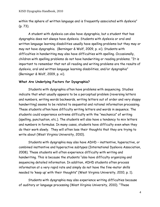within the sphere of written language and is frequently associated with dyslexia" (p. 73).

A student with dyslexia can also have dysgraphia, but a student that has dysgraphia does not always have dyslexia. Students with dyslexia or oral and written language learning disabilities usually have spelling problems but they may or may not have dysgraphia. (Berninger & Wolf, 2009, p. xi). Students with difficulties in handwriting may also have difficulties with spelling. Occasionally, children with spelling problems do not have handwriting or reading problems. "It is important to remember that not all reading and writing problems are the results of dyslexia, oral and written language learning disabilities, and/or dysgraphia" (Berninger & Wolf, 2009, p. xi).

#### **What Are Underlying Factors for Dysgraphia?**

Students with dysgraphia often have problems with sequencing. Studies indicate that what usually appears to be a perceptual problem (reversing letters and numbers, writing words backwards, writing letters out of order and very sloppy handwriting) seems to be related to sequential and rational information processing. These students often have difficulty writing letters and words in sequence. The students could experience extreme difficulty with the "mechanics" of writing (spelling, punctuation, etc.). The students will also have a tendency to mix letters and numbers in formulas. In many cases, students have difficulty even when they do their work slowly. They will often lose their thoughts that they are trying to write about (West Virginia University, 2010).

Students with dysgraphia may also have ADHD – inattentive, hyperactive, or combined inattentive and hyperactive subtypes (International Dyslexia Association, 2008). These students will often experience difficulty with writing and handwriting. This is because the students "also have difficulty organizing and sequencing detailed information. In addition, ADHD students often process information at a very rapid rate and simply do not have the fine-motor skills needed to 'keep up' with their thoughts" (West Virginia University, 2010, p. 1).

Students with dysgraphia may also experience writing difficulties because of auditory or language processing (West Virginia University, 2010). "These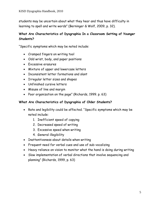students may be uncertain about what they hear and thus have difficulty in learning to spell and write words" (Berninger & Wolf, 2009, p. 32).

# **What Are Characteristics of Dysgraphia In a Classroom Setting of Younger Students?**

"Specific symptoms which may be noted include:

- Cramped fingers on writing tool
- Odd wrist, body, and paper positions
- Excessive erasures
- Mixture of upper and lowercase letters
- Inconsistent letter formations and slant
- Irregular letter sizes and shapes
- Unfinished cursive letters
- Misuse of line and margin
- Poor organization on the page" (Richards, 1999. p. 63)

#### **What Are Characteristics of Dysgraphia of Older Students?**

- Rate and legibility could be affected. "Specific symptoms which may be noted include:
	- 1. Inefficient speed of copying
	- 2. Decreased speed of writing
	- 3. Excessive speed when writing
	- 4. General illegibility
- Inattentiveness about details when writing
- Frequent need for verbal cues and use of sub-vocalizing
- Heavy reliance on vision to monitor what the hand is doing during writing
- Slow implementation of verbal directions that involve sequencing and planning" (Richards, 1999, p. 63)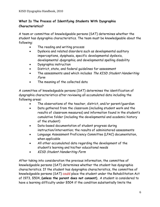# **What Is The Process of Identifying Students With Dysgraphia Characteristics?**

A team or committee of knowledgeable persons (SAT) determines whether the student has dysgraphia characteristics. The team must be knowledgeable about the following:

- The reading and writing process
- Dyslexia and related disorders such as developmental auditory imperceptions, dysphasia, specific developmental dyslexia, developmental *dysgraphia*, and developmental spelling disability
- Dysgraphia instruction
- District, state, and federal guidelines for assessment
- The assessments used which includes The KISD Student Handwriting Form
- The meaning of the collected data

A committee of knowledgeable persons (SAT) determines the identification of dysgraphia characteristics after reviewing all accumulated data including the following areas:

- The observations of the teacher, district, and/or parent/guardian
- Data gathered from the classroom (including student work and the results of classroom measures) and information found in the student's cumulative folder (including the developmental and academic history of the student)
- Data-based documentation of student progress during instruction/intervention; the results of administered assessments
- Language Assessment Proficiency Committee (LPAC) documentation, when applicable
- All other accumulated data regarding the development of the student's learning and his/her educational needs
- KISD Student Handwriting Form

After taking into consideration the previous information, the committee of knowledgeable persons (SAT) determines whether the student has dysgraphia characteristics. If the student has dysgraphia characteristics, the committee of knowledgeable persons (SAT) could place the student under the Rehabilitation Act of 1973, §504, **(unless the parent does not consent).** A student is considered to have a learning difficulty under §504 if the condition substantially limits the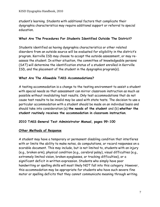student's learning. Students with additional factors that complicate their dysgraphia characteristics may require additional support or referral to special education.

#### **What Are The Procedures For Students Identified Outside The District?**

Students identified as having dysgraphia characteristics or other related disorders from an outside source will be evaluated for eligibility in the district's program. Kerrville ISD may choose to accept the outside assessment, or may reassess the student. In either situation, the committee of knowledgeable persons (SAT) will determine the identification status of a student enrolled in Kerrville ISD, and the placement of the student in the dysgraphia program(s).

#### **What Are The Allowable TAKS Accommodations?**

A testing accommodation is a change to the testing environment to assist a student with special needs so that assessment can mirror classroom instruction as much as possible without invalidating test results. Only test accommodations that do not cause test results to be invalid may be used with state tests. The decision to use a particular accommodation with a student should be made on an individual basis and should take into consideration (a) **the needs of the student** and (b) **whether the student routinely receives the accommodation in classroom instruction**.

#### **2010 TAKS General Test Administrator Manual, pages 99-100**

#### **Other Methods of Response**

A student may have a temporary or permanent disabling condition that interferes with or limits the ability to make notes, do computations, or record responses on a scorable document. This may include, but is not limited to, students with an injury (e.g., broken arm), physical condition (e.g., cerebral palsy), visual difficulties (e.g., extremely limited vision, broken eyeglasses, or tracking difficulties), or a significant deficit in written expression. Students who simply have poor handwriting or spelling skills will most likely NOT fall into this category. However, this accommodation may be appropriate for students who have such severe fine motor or spelling deficits that they cannot communicate meaning through writing.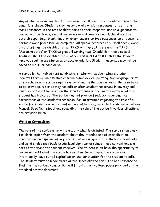Any of the following methods of response are allowed for students who meet the conditions above. Students may respond orally or sign responses to test items; mark responses in the test booklet; point to their response; use an augmentative communication device; record responses on a dry-erase board, chalkboard, or scratch paper (e.g., blank, lined, or graph paper); or type responses on a typewriter, portable word processor, or computer. All special features (e.g., spell check, word predictor) must be disabled for all TAKS writing/ELA tests and the TAKS (Accommodated) or TAKS–M grade 4 writing test. In addition, these special features should be disabled for all other writing/ELA tests unless the student receives spelling assistance as an accommodation. Student responses may not be saved to a disk or hard drive.

A scribe is the trained test administrator who writes down what a student indicates through an assistive communication device, pointing, sign language, print, or speech. Being a scribe requires understanding the boundaries of the assistance to be provided. A scribe may not edit or alter student responses in any way and must record word for word on the standard answer document exactly what the student has indicated. The scribe may not provide feedback regarding the correctness of the student's response. For information regarding the role of a scribe for students who are deaf or hard of hearing, refer to the Accommodations Manual. Specific instructions regarding the role of the scribe in various situations are provided below.

## **Written Composition**

The role of the scribe is to write exactly what is dictated. The scribe should ask for clarification from the student about the intended use of capitalization, punctuation, and spelling of key words that are unique to the student's creativity and word choice (not basic grade-level sight words) since these conventions are part of the score the student receives. The student must have the opportunity to review and edit what the scribe has written; for example, the scribe may intentionally leave out all capitalization and punctuation for the student to edit. The student must be made aware of the space allowed for his or her response so that the transcribed composition will fit onto the two lined pages provided on the standard answer document.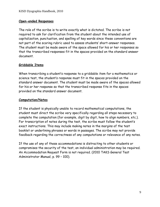#### **Open-ended Responses**

The role of the scribe is to write exactly what is dictated. The scribe is not required to ask for clarification from the student about the intended use of capitalization, punctuation, and spelling of key words since these conventions are not part of the scoring rubric used to assess students' short-answer responses. The student must be made aware of the space allowed for his or her responses so that the transcribed responses fit in the spaces provided on the standard answer document.

#### **Griddable Items**

When transcribing a student's response to a griddable item for a mathematics or science test, the student's response must fit in the spaces provided on the standard answer document. The student must be made aware of the spaces allowed for his or her response so that the transcribed response fits in the spaces provided on the standard answer document.

#### **Computation/Notes**

If the student is physically unable to record mathematical computations, the student must direct the scribe very specifically regarding all steps necessary to complete the computation (for example, digit by digit, how to align numbers, etc.). For transcription of notes during the test, the scribe must follow the student's exact instructions. This may include making notes in the margins of the test booklet or underlining phrases or words in passages. The scribe may not provide feedback regarding the correctness of any computations or relevance of any notes.

If the use of any of these accommodations is distracting to other students or compromises the security of the test, an individual administration may be required. An Accommodation Request Form is not required. (2010 TAKS General Test Administrator Manual, p. 99 – 100).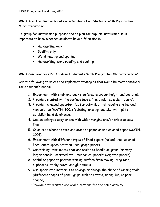# **What Are The Instructional Considerations For Students With Dysgraphia Characteristics?**

To group for instruction purposes and to plan for explicit instruction, it is important to know whether students have difficulties in:

- Handwriting only
- Spelling only
- Word reading and spelling
- Handwriting, word reading and spelling

## **What Can Teachers Do To Assist Students With Dysgraphia Characteristics?**

Use the following to select and implement strategies that would be most beneficial for a student's needs:

- 1. Experiment with chair and desk size (ensure proper height and posture).
- 2. Provide a slanted writing surface (use a 4 in. binder as a slant board).
- 3. Provide increased opportunities for activities that require one-handed manipulation (MATN, 2001) (painting, erasing, and sky-writing) to establish hand dominance.
- 4. Use an enlarged copy or one with wider margins and/or triple-spaces lines.
- 5. Color code where to stop and start on paper or use colored paper (MATN, 2001).
- 6. Experiment with different types of lined papers (raised lines, colored lines, extra space between lines, graph paper).
- 7. Use writing instruments that are easier to handle or grasp (primary larger pencils; intermediate – mechanical pencils; weighted pencils).
- 8. Stabilize paper to prevent writing surface from moving using tape, clipboards, sticky notes, and glue sticks.
- 9. Use specialized materials to enlarge or change the shape of writing tools (different shapes of pencil grips such as Stetro, triangular, or pearshaped).
- 10. Provide both written and oral directions for the same activity.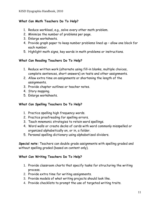#### **What Can Math Teachers Do To Help?**

- 1. Reduce workload, e.g., solve every other math problem.
- 2. Minimize the number of problems per page.
- 3. Enlarge worksheets.
- 4. Provide graph paper to keep number problems lined up allow one block for each number.
- 5. Highlight math signs, key words in math problems or instructions.

#### **What Can Reading Teachers Do To Help?**

- 1. Reduce written work (alternate using fill-in blanks, multiple choices, complete sentences, short answers) on tests and other assignments.
- 2. Allow extra time on assignments or shortening the length of the assignments.
- 3. Provide chapter outlines or teacher notes.
- 4. Story mapping.
- 5. Enlarge worksheets.

#### **What Can Spelling Teachers Do To Help?**

- 1. Practice spelling high frequency words.
- 2. Practice proofreading for spelling errors.
- 3. Teach mnemonic strategies to retain word spellings.
- 4. Word walls or create decks of cards with word commonly misspelled or organized alphabetically on, or in, a folder.
- 5. Personal spelling dictionary using alphabetized dividers.

**Special note:** Teachers can double grade assignments with spelling graded and without spelling graded (based on content only).

#### **What Can Writing Teachers Do To Help?**

- 1. Provide classroom charts that specify tasks for structuring the writing process.
- 2. Provide extra time for writing assignments.
- 3. Provide models of what writing projects should look like.
- 4. Provide checklists to prompt the use of targeted writing traits.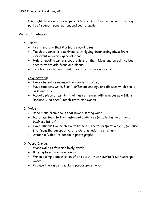5. Use highlighters or colored pencils to focus on specific conventions (e.g., parts of speech, punctuation, and capitalization).

Writing Strategies:

- A. Ideas:
	- Use literature that illustrates good ideas
	- Teach students to discriminate intriguing, interesting ideas from irrelevant or overly general ideas
	- Help struggling writers create lists of their ideas and select the best ones that provide focus and clarity
	- Teach students how to ask questions to develop ideas
- B. Organization:
	- Have students sequence the events in a story
	- Have students write 3 or 4 different endings and discuss which one is best and why
	- Model a piece of writing that has sentences with unnecessary fillers.
	- Replace "And then"; teach transition words
- C. Voice:
	- Read aloud from books that have a strong voice
	- Match writings to their intended audiences (e.g., letter to a friend, business letter)
	- Have students write an event from different perspectives e.g., (a house fire from the perspective of a child, an adult, a fireman)
	- Attach a "voice" to people in photographs
- D. Word Choice:
	- Word walls of favorite lively words
	- Burying tired, overused words
	- Write a simple description of an object, then rewrite it with stronger words
	- Replace the verbs to make a paragraph stronger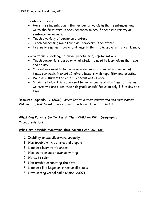- E. Sentence Fluency:
	- Have the students count the number of words in their sentences, and write the first word in each sentence to see if there is a variety of sentence beginnings.
	- Teach a variety of sentence starters
	- Teach connecting words such as "however", "therefore"
	- Use early emergent books and rewrite them to improve sentence fluency.
- F. Conventions: (Spelling, grammar, punctuation, capitalization)
	- Teach conventions based on what students need to learn given their age and ability.
	- Conventions need to be focused upon one at a time, at a minimum of 3 times per week, in short 15 minute lessons with repetition and practice.
	- Don't ask students to edit all conventions at once
	- Students below 4th grade need to revise one trait at a time. Struggling writers who are older than 4th grade should focus on only 2-3 traits at a time.

Resource: Spandel, V. (2001). Write Traits: 6 trait instruction and assessment. Wilmington, MA: Great Source Education Group, Houghton Mifflin.

# **What Can Parents Do To Assist Their Children With Dysgraphia Characteristics?**

#### **What are possible symptoms that parents can look for?**

- 1. Inability to use silverware properly
- 2. Has trouble with buttons and zippers
- 3. Does not learn to tie shoes
- 4. Has low tolerance towards writing
- 5. Hates to color
- 6. Has trouble connecting the dots
- 7. Does not like Legos or other small blocks
- 8. Have strong verbal skills (Spies, 2007)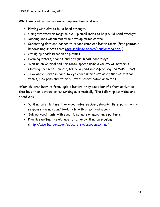#### **What kinds of activities would improve handwriting?**

- Playing with clay to build hand strength
- Using tweezers or tongs to pick up small items to help build hand strength
- Keeping lines within mazes to develop motor control
- Connecting dots and dashes to create complete letter forms (free printable handwriting sheets from [www.spellingcity.com/handwriting.html](http://www.spellingcity.com/handwriting.html) )
- Stringing beads (wooden or plastic)
- Forming letters, shapes, and designs in salt/sand trays
- Writing on vertical and horizontal spaces using a variety of materials (shaving cream on a mirror, tempera paint in a Ziploc bag and Wikki Stix)
- Involving children in hand-to-eye coordination activities such as softball, tennis, ping-pong and other bi-lateral coordination activities

After children learn to form legible letters, they could benefit from activities that help them develop letter writing automatically. The following activities are beneficial:

- Writing brief letters, thank-you notes, recipes, shopping lists, parent-child response journals, and to-do lists with or without a copy
- Solving word hunts with specific syllable or morpheme patterns
- Practice writing the alphabet or a handwriting curriculum [\(http://www.hwtears.com/educators/classroomextras](http://www.hwtears.com/educators/classroomextras) )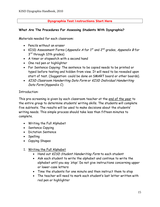#### **Dysgraphia Test Instructions Start Here**

#### **What Are The Procedures For Assessing Students With Dysgraphia?**

Materials needed for each classroom:

- Pencils without an eraser
- KISD Assessment Forms (Appendix A for  $1<sup>st</sup>$  and  $2<sup>nd</sup>$  grades, Appendix B for 3<sup>rd</sup> through 12th grades)
- A timer or stopwatch with a second hand
- One red pen or highlighter
- For Sentence Copying: The sentence to be copied needs to be printed or typed before testing and hidden from view. It will need to be revealed upon start of test. (Suggestion: could be done on SMART board or other boards).
- KISD Classroom Handwriting Data Form or KISD Individual Handwriting Data Form (Appendix C)

#### Introduction:

This pre-screening is given by each classroom teacher at the end of the year to the entire group to determine students' writing skills. The students will complete five subtests. The results will be used to make decisions about the students' writing needs. This simple process should take less than fifteen minutes to complete.

- Writing the Full Alphabet
- Sentence Copying
- Dictation Sentence
- Spelling
- Copying Shapes

#### 1. Writing the Full Alphabet

- Hand out KISD Student Handwriting Form to each student
- Ask each student to write the alphabet and continue to write the alphabet until you say 'stop'. Do not give instructions concerning upper or lower-case letters
- Time the students for one minute and then instruct them to stop
- The teacher will need to mark each student's last letter written with red pen or highlighter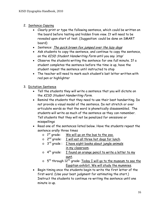- 2. Sentence Copying
	- Clearly print or type the following sentence, which could be written on the board before testing and hidden from view. It will need to be revealed upon start of test. (Suggestion: could be done on SMART board)
	- Sentence: The quick brown fox jumped over the lazy dogs
	- Ask students to copy the sentence, and continue to copy the sentence, on the KISD Student Handwriting Form until you say 'stop'
	- Observe the students writing the sentence for one full minute. If a student completes the sentence before the time is up, have the student repeat the sentence until instructed to stop
	- The teacher will need to mark each student's last letter written with red pen or highlighter

## 3. Dictation Sentence

- Tell the students they will write a sentence that you will dictate on the KISD Student Handwriting Form.
- Remind the students that they need to use their best handwriting. Do not provide a visual model of the sentence. Do not stretch or over articulate words so that the word is phonetically disassembled. The students will write as much of the sentence as they can remember. Tell students that they will not be penalized for omissions or misspellings
- Read one of the sentences listed below. Have the students repeat the sentence orally three times
	- $\circ$   $\,$  1 $^{\rm st}$  grade:  $\,$  <u>We will go on the bus to the zoo.</u>
	- $\circ$  2<sup>nd</sup> grade: **I** will eat all three hot dogs for lunch.
	- $\circ$  3<sup>rd</sup> grade: **I** have eight books about jungle animals in my classroom.
	- $\circ$  4<sup>th</sup> grade:  $\overline{I}$  found an orange pencil to write a letter to my aunt.
	- o 5<sup>th</sup> through 12<sup>th</sup> grade: Today I will go to the museum to see the Egyptian exhibit. We will study the mummies.
- Begin timing once the students begin to write the first letter of the first word. (Use your best judgment for estimating the start.) Instruct the students to continue re-writing the sentence until one minute is up.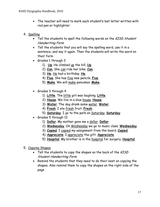- The teacher will need to mark each student's last letter written with red pen or highlighter
- 4. Spelling
	- Tell the students to spell the following words on the KISD Student Handwriting Form
	- Tell the students that you will say the spelling word, use it in a sentence, and say it again. Then the students will write the word on their form
	- Grades 1 through 2
		- 1) **Up**. He climbed up the hill. **Up**.
		- 2) **Can**. She can ride her bike. **Can**.
		- 3) **He**. He had a birthday. **He**.
		- 4) **Five**. She has five new pencils. **Five**.
		- 5) **Make**. We will make pancakes. **Make**.
	- Grades 3 through 4
		- 1) **Little**. The little girl was laughing. **Little**.
		- 2) **House**. We live in a blue house. **House**.
		- 3) **Water**. The dog drank some water. **Water**.
		- 4) **Fresh**. I ate fresh fruit. **Fresh**.
		- 5) **Saturday**. I go to the park on Saturday. **Saturday**.
	- Grades 5 through 12
		- 1) **Dollar**. My mother gave me a dollar. **Dollar**.
		- 2) **Wednesday**. On Wednesday we go to music class. **Wednesday**.
		- 3) **Copied**. I copied my assignment from the board. **Copied**.
		- 4) **Appreciate**. I appreciate the gift. **Appreciate**.
		- 5) **Hospital**. My brother is in the hospital for surgery. **Hospital**.
- 5. Copying Shapes
	- Tell the students to copy the shapes on the back of the KISD Student Handwriting Form
	- Remind the students that they need to do their best on copying the shapes. Also remind them to copy the shapes on the right side of the page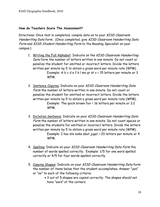#### **How do Teachers Score The Assessment?**

Directions: Once test is completed, compile data on to your KISD Classroom Handwriting Data form. (Once completed, give KISD Classroom Handwriting Data Form and KISD Student Handwriting Form to the Reading Specialist on your campus.)

- 1. Writing the Full Alphabet: Indicate on the KISD Classroom Handwriting Data form the number of letters written in one minute. Do not count or penalize the student for omitted or incorrect letters. Divide the letters written per minute by 5 to obtain a gross word per minute rate (WPM). Example: A b c d e f k l mo qr st v = 15 letters per minute or 3 WPM.
- 2. Sentence Copying: Indicate on your KISD Classroom Handwriting Data Form the number of letters written in one minute. Do not count or penalize the student for omitted or incorrect letters. Divide the letters written per minute by 5 to obtain a gross word per minute rate (WPM). Example: The quick brown fox = 16 letters per minute or 3.2 WPM.
- 3. Dictation Sentence: Indicate on your KISD Classroom Handwriting Data Form the number of letters written in one minute. Do not count spaces or penalize the students for omitted or incorrect letters. Divide the letters written per minute by 5 to obtain a gross word per minute rate (WPM). Example: I hav ate boks abot jugel = 20 letters per minute or 4 WPM.
- 4. Spelling: Indicate on your KISD Classroom Handwriting Data Form the number of words spelled correctly. Example: 1/5 for one word spelled correctly or 4/5 for four words spelled correctly.
- 5. Copying Shapes: Indicate on your KISD Classroom Handwriting Data form the number of items below that the student accomplishes. Answer "yes" or "no" to each of the following criteria:
	- 3 out of 5 shapes are copied correctly. The shapes should not have "ears" at the corners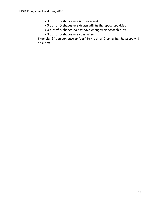- 3 out of 5 shapes are not reversed
- 3 out of 5 shapes are drawn within the space provided
- 3 out of 5 shapes do not have changes or scratch outs
- 3 out of 5 shapes are completed

Example: If you can answer "yes" to 4 out of 5 criteria, the score will  $be = 4/5.$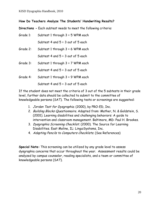#### **How Do Teachers Analyze The Students' Handwriting Results?**

**Directions -** Each subtest needs to meet the following criteria:

| Grade 1: | Subtest 1 through $3 = 5$ WPM each  |
|----------|-------------------------------------|
|          | Subtest 4 and 5 = 3 out of 5 each   |
| Grade 2: | Subtest 1 through $3 = 6$ WPM each  |
|          | Subtest 4 and 5 = 3 out of 5 each   |
| Grade 3: | Subtest 1 through $3 = 7$ WPM each  |
|          | Subtest 4 and $5 = 3$ out of 5 each |
| Grade 4: | Subtest 1 through 3 = 9 WPM each    |
|          | Subtest 4 and $5 = 3$ out of 5 each |

If the student does not meet the criteria of 3 out of the 5 subtests in their grade level, further data should be collected to submit to the committee of knowledgeable persons (SAT). The following tests or screenings are suggested:

- 1. Jordan Test for Dysgraphia. (2000), by PRO-ED, Inc.
- 2. Building Blocks Questionnaire. Adapted from: Mather, N. & Goldstein, S. (2001). Learning disabilities and challenging behaviors: A guide to intervention and classroom management. Baltimore, MD: Paul H. Brookes.
- 3. Dysgraphia Screening Checklist. (2000). The Source for Learning Disabilities. East Moline, IL: LinguiSystems, Inc.
- 4. Adapting Pencils to Computers Checklists. (See References)

**Special Note:** This screening can be utilized by any grade level to assess dysgraphia concerns that occur throughout the year. Assessment results could be analyzed by campus counselor, reading specialists, and a team or committee of knowledgeable persons (SAT).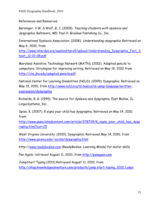### References and Resources

Berninger, V.W. & Wolf, B. J. (2009). Teaching students with dyslexia and dysgraphia. Baltimore, MD: Paul H. Brookes Publishing Co., Inc.

International Dyslexia Association. (2008). Understanding dysgraphia. Retrieved on May 6, 2010, from

http://www.interdys.org/ewebeditpro5/upload/Understanding Dysgraphia Fact S [heet\\_12-01-08.pdf](http://www.interdys.org/ewebeditpro5/upload/Understanding_Dysgraphia_Fact_Sheet_12-01-08.pdf)

Maryland Assistive Technology Network (MATN). (2001). Adapted pencils to computers: Strategies for improving writing. Retrieved on May 19, 2010 from [http://cte.jhu.edu/adapted pencils.pdf](http://cte.jhu.edu/adapted%20pencils.pdf)

National Center for Learning Disabilities (NCLD). (2009). Dysgraphia. Retrieved on May 15, 2010, from [http://www.ncld.org/ld-basics/ld-aamp-language/written](http://www.ncld.org/ld-basics/ld-aamp-language/written-expression/dysgraphia)[expression/dysgraphia](http://www.ncld.org/ld-basics/ld-aamp-language/written-expression/dysgraphia)

Richards, R. G. (1999). The source for dyslexia and dysgraphia. East Moline, IL: LinguiSystems, Inc.

Spies, K. (2007). 8 signs your child has dysgraphia. Retrieved on May 14, 2010, from

[http://www.associatedcontent.com/article/378729/8\\_signs\\_your\\_child\\_has\\_dysg](http://www.associatedcontent.com/article/378729/8_signs_your_child_has_dysgraphia.html?cat=25) [raphia.html?cat=25](http://www.associatedcontent.com/article/378729/8_signs_your_child_has_dysgraphia.html?cat=25)

West Virginia University. (2010). Dysgraphia. Retrieved May 14, 2010, from <http://www.as.wvu.edu/~scidis/dysgraphia.html>

http:/[/www.readybodies.com](http://www.readybodies.com/) (ReadyBodies, Learning Minds) for motor skills

Pen Again; retrieved August 11, 2010, from [http://penagain.com](http://penagain.com/)

JumpStart Typing (2011) Retrieved August 11, 2010, from [http://shop.knowledgeadventure.com/products/jump start-typing\\_2012.1.aspx](http://shop.knowledgeadventure.com/products/jump%20start-typing_2012.1.aspx)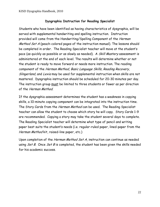## **Dysgraphia Instruction for Reading Specialist**

Students who have been identified as having characteristics of dysgraphia, will be served with supplemental handwriting and spelling instruction. Instruction provided will come from the Handwriting/Spelling Component of the Herman Method Set A (peach-colored pages of the instruction manual). The lessons should be completed in order. The Reading Specialist teacher will move at the student's pace (as quickly as possible or as slowly as needed). A Skill Mastery assessment is administered at the end of each level. The results will determine whether or not the student is ready to move forward or needs more instruction. The reading component of the Herman Method, Basic Language Skills, Reading Recovery, Slingerland, and Lexia may be used for supplemental instruction when skills are not mastered. Dysgraphia instruction should be scheduled for 20-30 minutes per day. The instruction group must be limited to three students or fewer as per direction of the Herman Method.

If the dysgraphia assessment determines the student has a weakness in copying skills, a 10-minute copying component can be integrated into the instruction time. The Story Cards from the Herman Method can be used. The Reading Specialist teacher can allow the student to choose which story he will copy. Story Cards 1-9 are recommended. Copying a story may take the student several days to complete. The Reading Specialist teacher will determine what type of pencil and writing paper best suits the student's needs (i.e. regular-ruled paper, lined-paper from the Herman Method kit, raised-line paper, etc.)

Upon completion of the Herman Method Set A, instruction can continue as needed using  $Set B$ . Once  $Set B$  is completed, the student has been given the skills needed for his academic success.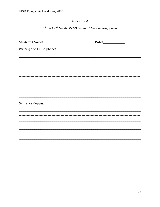# Appendix A

1st and 2<sup>nd</sup> Grade KISD Student Handwriting Form

| Student's Name:            | Date:______________ |
|----------------------------|---------------------|
| Writing the Full Alphabet: |                     |
|                            |                     |
|                            |                     |
|                            |                     |
|                            |                     |
|                            |                     |
|                            |                     |
| Sentence Copying:          |                     |
|                            |                     |
|                            |                     |
|                            |                     |
|                            |                     |
|                            |                     |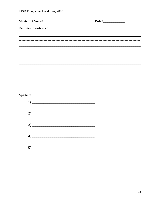Student's Name: Dictation Sentence: 

# Spelling:

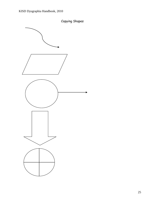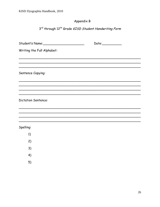# Appendix B

3rd through 12<sup>th</sup> Grade KISD Student Handwriting Form

|                            | Date: |
|----------------------------|-------|
| Writing the Full Alphabet: |       |
|                            |       |
|                            |       |
| Sentence Copying:          |       |
|                            |       |
|                            |       |
| <b>Dictation Sentence:</b> |       |
|                            |       |
|                            |       |
| Spelling:                  |       |
| 1)                         |       |
| 2)                         |       |
| 3)                         |       |
| 4)                         |       |
| 5)                         |       |
|                            |       |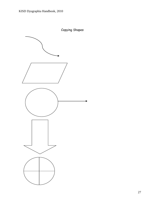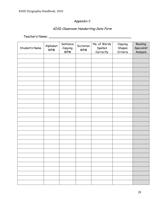# Appendix C

## KISD Classroom Handwriting Data Form

Teacher's Name: \_\_\_\_\_\_\_\_\_\_\_\_\_\_\_\_\_\_\_\_\_\_\_\_\_\_\_\_\_\_\_\_\_\_\_\_\_\_\_\_\_\_

| Student's Name | Alphabet<br><b>WPM</b> | Sentence<br>Copying<br><b>WPM</b> | Dictation<br><b>WPM</b> | No. of Words<br>Spelled<br>Correctly | Copying<br>Shapes<br>Criteria | Reading<br>Specialist<br>Analysis |
|----------------|------------------------|-----------------------------------|-------------------------|--------------------------------------|-------------------------------|-----------------------------------|
|                |                        |                                   |                         |                                      |                               |                                   |
|                |                        |                                   |                         |                                      |                               |                                   |
|                |                        |                                   |                         |                                      |                               |                                   |
|                |                        |                                   |                         |                                      |                               |                                   |
|                |                        |                                   |                         |                                      |                               |                                   |
|                |                        |                                   |                         |                                      |                               |                                   |
|                |                        |                                   |                         |                                      |                               |                                   |
|                |                        |                                   |                         |                                      |                               |                                   |
|                |                        |                                   |                         |                                      |                               |                                   |
|                |                        |                                   |                         |                                      |                               |                                   |
|                |                        |                                   |                         |                                      |                               |                                   |
|                |                        |                                   |                         |                                      |                               |                                   |
|                |                        |                                   |                         |                                      |                               |                                   |
|                |                        |                                   |                         |                                      |                               |                                   |
|                |                        |                                   |                         |                                      |                               |                                   |
|                |                        |                                   |                         |                                      |                               |                                   |
|                |                        |                                   |                         |                                      |                               |                                   |
|                |                        |                                   |                         |                                      |                               |                                   |
|                |                        |                                   |                         |                                      |                               |                                   |
|                |                        |                                   |                         |                                      |                               |                                   |
|                |                        |                                   |                         |                                      |                               |                                   |
|                |                        |                                   |                         |                                      |                               |                                   |
|                |                        |                                   |                         |                                      |                               |                                   |
|                |                        |                                   |                         |                                      |                               |                                   |
|                |                        |                                   |                         |                                      |                               |                                   |
|                |                        |                                   |                         |                                      |                               |                                   |
|                |                        |                                   |                         |                                      |                               |                                   |
|                |                        |                                   |                         |                                      |                               |                                   |
|                |                        |                                   |                         |                                      |                               |                                   |